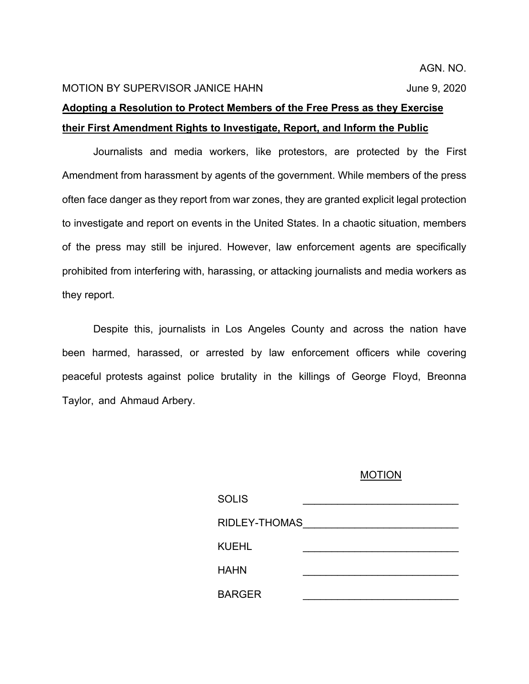AGN. NO.

## MOTION BY SUPERVISOR JANICE HAHN June 9, 2020

## **Adopting a Resolution to Protect Members of the Free Press as they Exercise their First Amendment Rights to Investigate, Report, and Inform the Public**

Journalists and media workers, like protestors, are protected by the First Amendment from harassment by agents of the government. While members of the press often face danger as they report from war zones, they are granted explicit legal protection to investigate and report on events in the United States. In a chaotic situation, members of the press may still be injured. However, law enforcement agents are specifically prohibited from interfering with, harassing, or attacking journalists and media workers as they report.

Despite this, journalists in Los Angeles County and across the nation have been harmed, harassed, or arrested by law enforcement officers while covering peaceful protests against police brutality in the killings of George Floyd, Breonna Taylor, and Ahmaud Arbery.

## MOTION

| <b>SOLIS</b>  |  |
|---------------|--|
| RIDLEY-THOMAS |  |
| KUEHL         |  |
| HAHN          |  |
| <b>BARGER</b> |  |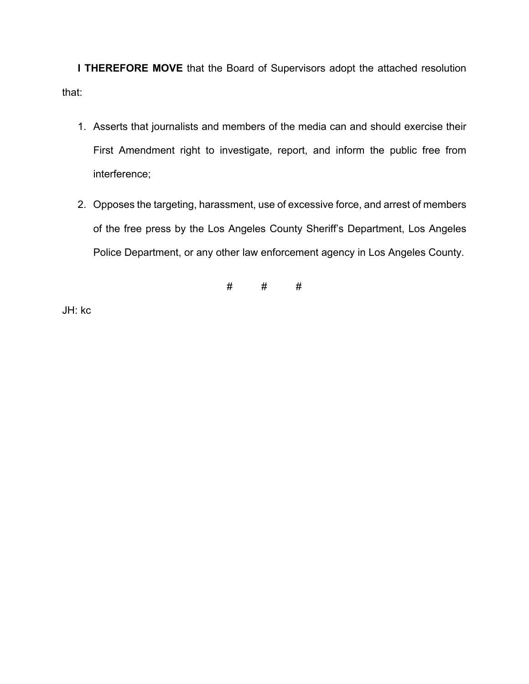**I THEREFORE MOVE** that the Board of Supervisors adopt the attached resolution that:

- 1. Asserts that journalists and members of the media can and should exercise their First Amendment right to investigate, report, and inform the public free from interference;
- 2. Opposes the targeting, harassment, use of excessive force, and arrest of members of the free press by the Los Angeles County Sheriff's Department, Los Angeles Police Department, or any other law enforcement agency in Los Angeles County.

# # #

JH: kc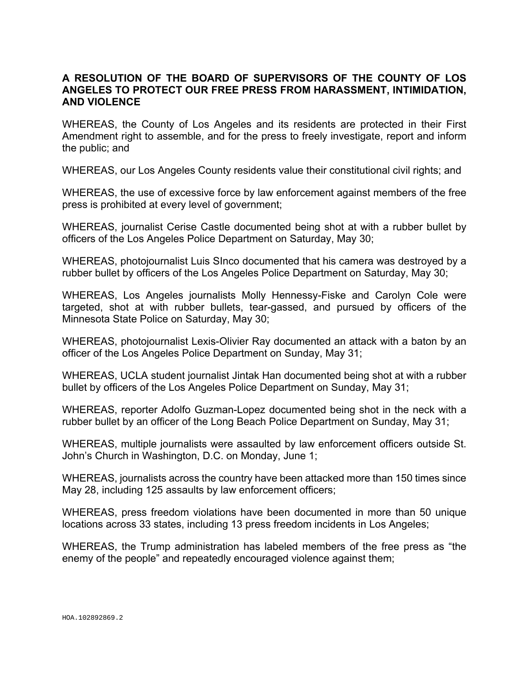## **A RESOLUTION OF THE BOARD OF SUPERVISORS OF THE COUNTY OF LOS ANGELES TO PROTECT OUR FREE PRESS FROM HARASSMENT, INTIMIDATION, AND VIOLENCE**

WHEREAS, the County of Los Angeles and its residents are protected in their First Amendment right to assemble, and for the press to freely investigate, report and inform the public; and

WHEREAS, our Los Angeles County residents value their constitutional civil rights; and

WHEREAS, the use of excessive force by law enforcement against members of the free press is prohibited at every level of government;

WHEREAS, journalist Cerise Castle documented being shot at with a rubber bullet by officers of the Los Angeles Police Department on Saturday, May 30;

WHEREAS, photojournalist Luis SInco documented that his camera was destroyed by a rubber bullet by officers of the Los Angeles Police Department on Saturday, May 30;

WHEREAS, Los Angeles journalists Molly Hennessy-Fiske and Carolyn Cole were targeted, shot at with rubber bullets, tear-gassed, and pursued by officers of the Minnesota State Police on Saturday, May 30;

WHEREAS, photojournalist Lexis-Olivier Ray documented an attack with a baton by an officer of the Los Angeles Police Department on Sunday, May 31;

WHEREAS, UCLA student journalist Jintak Han documented being shot at with a rubber bullet by officers of the Los Angeles Police Department on Sunday, May 31;

WHEREAS, reporter Adolfo Guzman-Lopez documented being shot in the neck with a rubber bullet by an officer of the Long Beach Police Department on Sunday, May 31;

WHEREAS, multiple journalists were assaulted by law enforcement officers outside St. John's Church in Washington, D.C. on Monday, June 1;

WHEREAS, journalists across the country have been attacked more than 150 times since May 28, including 125 assaults by law enforcement officers;

WHEREAS, press freedom violations have been documented in more than 50 unique locations across 33 states, including 13 press freedom incidents in Los Angeles;

WHEREAS, the Trump administration has labeled members of the free press as "the enemy of the people" and repeatedly encouraged violence against them;